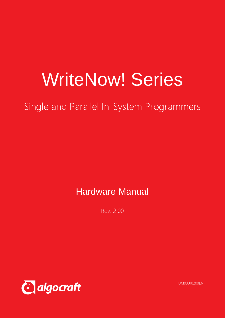# WriteNow! Series

## Single and Parallel In-System Programmers

Hardware Manual

Rev. 2.00



UM00010200EN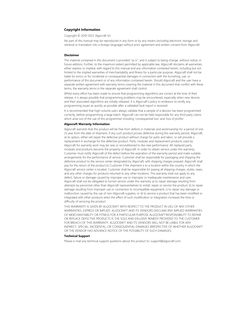#### **Copyright Information**

Copyright © 2010-2022 Algocraft Srl.

No part of this manual may be reproduced in any form or by any means (including electronic storage and retrieval or translation into a foreign language) without prior agreement and written consent from Algocraft.

#### **Disclaimer**

The material contained in this document is provided "as is", and is subject to being change, without notice, in future editions. Further, to the maximum extent permitted by applicable law, Algocraft disclaims all warranties, either express or implied, with regard to this manual and any information contained herein, including but not limited to the implied warranties of merchantability and fitness for a particular purpose. Algocraft shall not be liable for errors or for incidental or consequential damages in connection with the furnishing, use, or performance of this document or of any information contained herein. Should Algocraft and the user have a separate written agreement with warranty terms covering the material in this document that conflict with these terms, the warranty terms in the separate agreement shall control.

Whilst every effort has been made to ensure that programming algorithms are correct at the time of their release, it is always possible that programming problems may be encountered, especially when new devices and their associated algorithms are initially released. It is Algocraft's policy to endeavor to rectify any programming issues as quickly as possible after a validated fault report is received.

It is recommended that high-volume users always validate that a sample of a devices has been programmed correctly, before programming a large batch. Algocraft can not be held responsible for any third party claims which arise out of the use of this programmer including 'consequential loss' and 'loss of profits'.

#### **Algocraft Warranty Information**

Algocraft warrants that this product will be free from defects in materials and workmanship for a period of one (1) year from the date of shipment. If any such product proves defective during this warranty period, Algocraft, at its option, either will repair the defective product without charge for parts and labor, or will provide a replacement in exchange for the defective product. Parts, modules and replacement products used by Algocraft for warranty work may be new or reconditioned to like new performance. All replaced parts, modules and products become the property of Algocraft. In order to obtain service under this warranty, Customer must notify Algocraft of the defect before the expiration of the warranty period and make suitable arrangements for the performance of service. Customer shall be responsible for packaging and shipping the defective product to the service center designated by Algocraft, with shipping charges prepaid. Algocraft shall pay for the return of the product to Customer if the shipment is to a location within the country in which the Algocraft service center is located. Customer shall be responsible for paying all shipping charges, duties, taxes, and any other charges for products returned to any other locations. This warranty shall not apply to any defect, failure or damage caused by improper use or improper or inadequate maintenance and care. Algocraft shall not be obligated to furnish service under this warranty a) to repair damage resulting from attempts by personnel other than Algocraft representatives to install, repair or service the product; b) to repair damage resulting from improper use or connection to incompatible equipment; c) to repair any damage or malfunction caused by the use of non-Algocraft supplies; or d) to service a product that has been modified or integrated with other products when the effect of such modification or integration increases the time or difficulty of servicing the product.

THIS WARRANTY IS GIVEN BY ALGOCRAFT WITH RESPECT TO THE PRODUCT IN LIEU OF ANY OTHER WARRANTIES, EXPRESS OR IMPLIED. ALGOCRAFT AND ITS VENDORS DISCLAIM ANY IMPLIED WARRANTIES OF MERCHANTABILITY OR FITNESS FOR A PARTICULAR PURPOSE ALGOCRAFT'RESPONSIBILITY TO REPAIR OR REPLACE DEFECTIVE PRODUCTS IS THE SOLE AND EXLUSIVE REMEDY PROVIDED TO THE CUSTOMER FOR BREACH OF THIS WARRANTY. ALGOCRAFT AND ITS VENDORS WILL NOT BE LIABLE FOR ANY INDIRECT, SPECIAL, INCIDENTAL, OR CONSEQUENTIAL DAMAGES IRRESPECTIVE OF WHETHER ALGOCRAFT OR THE VENDOR HAS ADVANCE NOTICE OF THE POSSIBILITY OF SUCH DAMAGES.

#### **Technical Support**

Please e-mail any technical support questions about this product to: support@algocraft.com.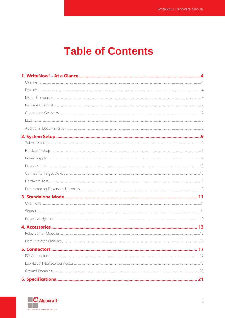## **Table of Contents**

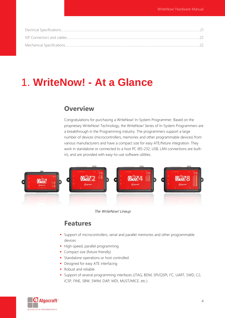## <span id="page-3-1"></span><span id="page-3-0"></span>1. **WriteNow! - At a Glance**

#### **Overview**

Congratulations for purchasing a WriteNow! In-System Programmer. Based on the proprietary WriteNow! Technology, the WriteNow! Series of In-System Programmers are a breakthrough in the Programming industry. The programmers support a large number of devices (microcontrollers, memories and other programmable devices) from various manufacturers and have a compact size for easy ATE/fixture integration. They work in standalone or connected to a host PC (RS-232, USB, LAN connections are builtin), and are provided with easy-to-use software utilities.



#### The WriteNow! Lineup

#### **Features**

- <span id="page-3-2"></span>**EXECT** Support of microcontrollers, serial and parallel memories and other programmable devices
- **·** High-speed, parallel programming
- **•** Compact size (fixture friendly)
- **EXECUTE:** Standalone operations or host controlled
- **•** Designed for easy ATE interfacing
- Robust and reliable
- Support of several programming interfaces (JTAG, BDM, SPI/QSPI, I<sup>2</sup>C, UART, SWD, C2, ICSP, FINE, SBW, SWIM, DAP, MDI, MUST/MICE, etc.)

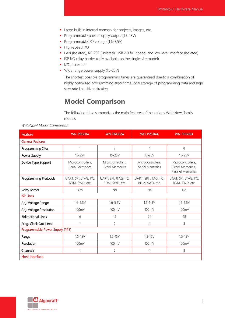- **E** Large built-in internal memory for projects, images, etc.
- Programmable power supply output (1.5-13V)
- **•** Programmable I/O voltage (1.6-5.5V)
- **·** High-speed I/O
- LAN (isolated), RS-232 (isolated), USB 2.0 full-speed, and low-level interface (isolated)
- **•** ISP I/O relay barrier (only available on the single-site model)
- I/O protection
- Wide range power supply (15-25V)

The shortest possible programming times are guaranteed due to a combination of highly optimized programming algorithms, local storage of programming data and high slew rate line driver circuitry.

#### **Model Comparison**

The following table summarizes the main features of the various WriteNow! family models.

| Feature                         | <b>WN-PRG01A</b>                                     | WN-PRG02A                                            | <b>WN-PRG04A</b>                                     | WN-PRG08A                                                  |  |  |  |  |  |  |
|---------------------------------|------------------------------------------------------|------------------------------------------------------|------------------------------------------------------|------------------------------------------------------------|--|--|--|--|--|--|
| <b>General Features</b>         |                                                      |                                                      |                                                      |                                                            |  |  |  |  |  |  |
| Programming Sites               | 1                                                    | $\overline{\phantom{a}}$                             | $\overline{4}$                                       | 8                                                          |  |  |  |  |  |  |
| Power Supply                    | $15 - 25V$                                           | $15 - 25V$                                           | $15 - 25V$                                           | $15 - 25V$                                                 |  |  |  |  |  |  |
| Device Type Support             | Microcontrollers,<br>Serial Memories                 | Microcontrollers,<br>Serial Memories                 | Microcontrollers,<br>Serial Memories                 | Microcontrollers,<br>Serial Memories,<br>Parallel Memories |  |  |  |  |  |  |
| Programming Protocols           | UART, SPI, JTAG, I <sup>2</sup> C,<br>BDM, SWD, etc. | UART, SPI, JTAG, I <sup>2</sup> C,<br>BDM, SWD, etc. | UART, SPI, JTAG, I <sup>2</sup> C,<br>BDM, SWD, etc. | UART, SPI, JTAG, I <sup>2</sup> C,<br>BDM, SWD, etc.       |  |  |  |  |  |  |
| Relay Barrier                   | Yes                                                  | No<br>No                                             |                                                      | <b>No</b>                                                  |  |  |  |  |  |  |
| <b>ISP Lines</b>                |                                                      |                                                      |                                                      |                                                            |  |  |  |  |  |  |
| Adj. Voltage Range              | $1.6 - 5.5V$                                         | $1.6 - 5.5V$                                         | $1.6 - 5.5V$                                         | $1.6 - 5.5V$                                               |  |  |  |  |  |  |
| Adj. Voltage Resolution         | 100mV                                                | 100mV                                                | 100mV                                                | 100mV                                                      |  |  |  |  |  |  |
| <b>Bidirectional Lines</b>      | 6                                                    | 12                                                   | 24                                                   | 48                                                         |  |  |  |  |  |  |
| Prog. Clock Out Lines           | 1                                                    | $\overline{c}$                                       | $\overline{4}$                                       | 8                                                          |  |  |  |  |  |  |
| Programmable Power Supply (PPS) |                                                      |                                                      |                                                      |                                                            |  |  |  |  |  |  |
| $1.5 - 15V$<br>Range            |                                                      | $1.5 - 15V$                                          | $1.5 - 15V$                                          | $1.5 - 15V$                                                |  |  |  |  |  |  |
| Resolution                      | 100mV                                                | 100mV                                                | 100mV                                                | 100mV                                                      |  |  |  |  |  |  |
| Channels                        | 1                                                    | 2                                                    | 4                                                    | 8                                                          |  |  |  |  |  |  |
| Host Interface                  |                                                      |                                                      |                                                      |                                                            |  |  |  |  |  |  |

#### <span id="page-4-0"></span>*WriteNow! Model Comparison*

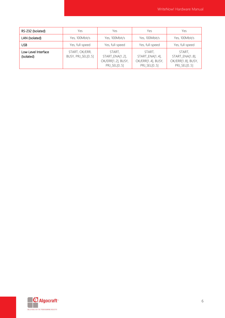| RS-232 (Isolated)                 | Yes                                 | Yes                                                          | Yes                                                          | Yes                                                          |  |  |
|-----------------------------------|-------------------------------------|--------------------------------------------------------------|--------------------------------------------------------------|--------------------------------------------------------------|--|--|
| LAN (Isolated)                    | Yes, 100Mbit/s                      | Yes, 100Mbit/s                                               | Yes, 100Mbit/s                                               | Yes, 100Mbit/s                                               |  |  |
| <b>USB</b>                        | Yes, full-speed                     | Yes, full-speed                                              | Yes, full-speed                                              | Yes, full-speed                                              |  |  |
| Low-Level Interface<br>(Isolated) | START, OK/ERR,<br>BUSY, PRJ SEL[05] | START,<br>START ENA[12],<br>OK/ERR[12], BUSY,<br>PRJ_SEL[05] | START,<br>START ENA[14],<br>OK/ERR[14], BUSY,<br>PRJ_SEL[05] | START,<br>START ENA[18],<br>OK/ERR[18], BUSY,<br>PRJ_SEL[05] |  |  |

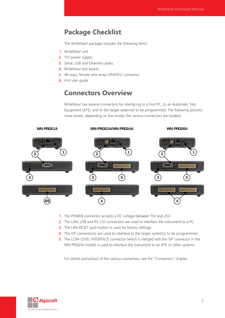### <span id="page-6-0"></span>**Package Checklist**

The WriteNow! package includes the following items:

- 1. WriteNow! unit.
- 2. 15V power supply.
- 3. Serial, USB and Ethernet cables.
- 4. WriteNow! test board.
- 5. 48-ways, female wire-wrap DIN41612 connector.
- 6. First user guide

#### **Connectors Overview**

WriteNow! has several connectors for interfacing to a host PC, to an Automatic Test Equipment (ATE), and to the target system(s) to be programmed. The following pictures show where, depending on the model, the various connectors are located.

<span id="page-6-1"></span>

- 1. The POWER connector accepts a DC voltage between 15V and 25V.
- 2. The LAN, USB and RS-232 connectors are used to interface the instrument to a PC.
- 3. The LAN RESET push button is used for factory settings.
- 4. The ISP connector(s) are used to interface to the target system(s) to be programmed.
- 5. The LOW-LEVEL INTERFACE connector (which is merged with the ISP connector in the WN-PRG01A model) is used to interface the instrument to an ATE or other systems.

For details and pinout of the various connectors, see the "[Connectors](#page-16-0)" chapter.

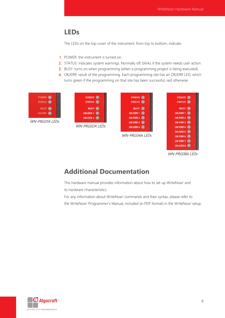#### <span id="page-7-0"></span>**LEDs**

The LEDs on the top cover of the instrument, from top to bottom, indicate:

- 1. POWER: the instrument is turned on.
- 2. STATUS: indicates system warnings. Normally off, blinks if the system needs user action.
- 3. BUSY: turns on when programming (when a programming project is being executed).
- 4. OK/ERR: result of the programming. Each programming site has an OK/ERR LED, which turns green if the programming on that site has been successful, red otherwise.



WN-PRG01A LEDs







WN-PRG08A LEDs

## <span id="page-7-1"></span>**Additional Documentation**

This hardware manual provides information about how to set up WriteNow! and its hardware characteristics.

For any information about WriteNow! commands and their syntax, please refer to the WriteNow! Programmer's Manual, included (in PDF format) in the WriteNow! setup.

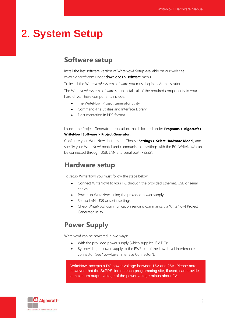## <span id="page-8-1"></span><span id="page-8-0"></span>2. **System Setup**

#### **Software setup**

Install the last software version of WriteNow! Setup available on our web site [www.algocraft.com](http://www.algocraft.com/) under downloads > software menu.

To install the WriteNow! system software you must log in as Administrator.

The WriteNow! system software setup installs all of the required components to your hard drive. These components include:

- The WriteNow! Project Generator utility;
- Command-line utilities and Interface Library;
- Documentation in PDF format

Launch the Project Generator application, that is located under **Programs > Algocraft > WriteNow! Software > Project Generator.**

Configure your WriteNow! Instrument. Choose **Settings > Select Hardware Model**, and specify your WriteNow! model and communication settings with the PC. WriteNow! can be connected through USB, LAN and serial port (RS232).

#### <span id="page-8-2"></span>**Hardware setup**

To setup WriteNow! you must follow the steps below:

- Connect WriteNow! to your PC through the provided Ethernet, USB or serial cables.
- Power up WriteNow! using the provided power supply.
- Set up LAN, USB or serial settings.
- Check WriteNow! communication sending commands via WriteNow! Project Generator utility.

### <span id="page-8-3"></span>**Power Supply**

WriteNow! can be powered in two ways:

- With the provided power supply (which supplies 15V DC);
- By providing a power supply to the PWR pin of the Low-Level Interference connector (see "Low-Level Interface Connector").

WriteNow! accepts a DC power voltage between 15V and 25V. Please note, however, that the SxPPS line on each programming site, if used, can provide a maximum output voltage of the power voltage minus about 2V.

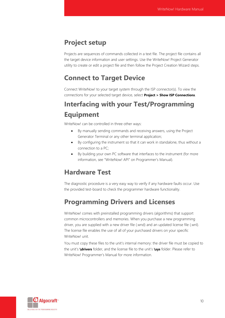### <span id="page-9-0"></span>**Project setup**

Projects are sequences of commands collected in a text file. The project file contains all the target device information and user settings. Use the WriteNow! Project Generator utility to create or edit a project file and then follow the Project Creation Wizard steps.

### <span id="page-9-1"></span>**Connect to Target Device**

Connect WriteNow! to your target system through the ISP connector(s). To view the connections for your selected target device, select **Project > Show ISP Connections**.

## **Interfacing with your Test/Programming Equipment**

WriteNow! can be controlled in three other ways:

- By manually sending commands and receiving answers, using the Project Generator Terminal or any other terminal application;
- By configuring the instrument so that it can work in standalone, thus without a connection to a PC;
- By building your own PC software that interfaces to the instrument (for more information, see "WriteNow! API" on Programmer's Manual).

### <span id="page-9-2"></span>**Hardware Test**

The diagnostic procedure is a very easy way to verify if any hardware faults occur. Use the provided test-board to check the programmer hardware functionality.

### <span id="page-9-3"></span>**Programming Drivers and Licenses**

WriteNow! comes with preinstalled programming drivers (algorithms) that support common microcontrollers and memories. When you purchase a new programming driver, you are supplied with a new driver file (.wnd) and an updated license file (.wnl). The license file enables the use of all of your purchased drivers on your specific WriteNow! unit.

You must copy these files to the unit's internal memory: the driver file must be copied to the unit's **\drivers** folder, and the license file to the unit's **\sys** folder. Please refer to WriteNow! Programmer's Manual for more information.

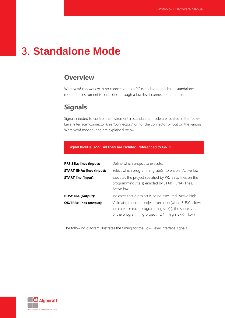## <span id="page-10-1"></span><span id="page-10-0"></span>3. **Standalone Mode**

#### **Overview**

WriteNow! can work with no connection to a PC (standalone mode). In standalone mode, the instrument is controlled through a low-level connection interface.

### <span id="page-10-2"></span>**Signals**

Signals needed to control the instrument in standalone mode are located in the "Low-Level Interface" connector (see"[Connectors](#page-16-0)" on for the connector pinout on the various WriteNow! models) and are explained below.

Signal level is 0-5V. All lines are isolated (referenced to GNDI).

| <b>PRJ_SELx lines (input):</b>   | Define which project to execute.                                                                                                                                                 |
|----------------------------------|----------------------------------------------------------------------------------------------------------------------------------------------------------------------------------|
| <b>START_ENAx lines (input):</b> | Select which programming site(s) to enable. Active low.                                                                                                                          |
| <b>START line (input):</b>       | Executes the project specified by PRJ_SELx lines on the<br>programming site(s) enabled by START_ENAx lines.<br>Active low.                                                       |
| <b>BUSY line (output):</b>       | Indicates that a project is being executed. Active high.                                                                                                                         |
| <b>OK/ERRx lines (output):</b>   | Valid at the end of project execution (when BUSY is low).<br>Indicate, for each programming site(s), the success state<br>of the programming project. (OK = high, $ERR = low$ ). |

The following diagram illustrates the timing for the Low-Level Interface signals.

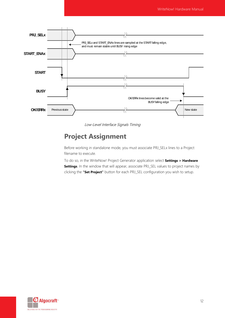

Low-Level Interface Signals Timing

### <span id="page-11-0"></span>**Project Assignment**

Before working in standalone mode, you must associate PRJ\_SELx lines to a Project filename to execute.

To do so, in the WriteNow! Project Generator application select **Settings > Hardware Settings**. In the window that will appear, associate PRJ\_SEL values to project names by clicking the **"Set Project"** button for each PRJ\_SEL configuration you wish to setup.

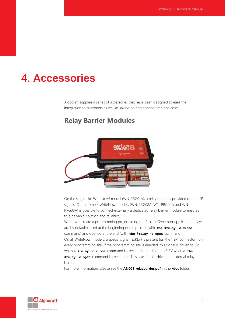## <span id="page-12-1"></span><span id="page-12-0"></span>4. **Accessories**

Algocraft supplies a series of accessories that have been designed to ease the integration to customers as well as saving on engineering time and costs.

#### **Relay Barrier Modules**



On the single-site WriteNow! model (WN-PRG01A), a relay barrier is provided on the ISP signals. On the others WriteNow! models (WN-PRG02A, WN-PRG04A and WN-PRG08A) is possible to connect externally a dedicated relay barrier module to ensures true galvanic isolation and reliability.

When you create a programming project using the Project Generator application, relays are by default closed at the beginning of the project (with **the #relay -o close**  command) and opened at the end (with **the #relay –o open** command). On all WriteNow! models, a special signal (SxRLY) is present (on the "ISP" connector), on every programming site. If the programming site is enabled, this signal is driven to 0V when **a #relay –o close** command is executed, and driven to 5.5V when a **the #relay –o open** command is executed). This is useful for driving an external relay barrier.

For more information, please see the **AN001\_relaybarrier.pdf** in the **\doc** folder.

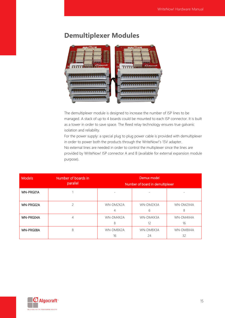#### **Demultiplexer Modules**

<span id="page-14-0"></span>

The demultiplexer module is designed to increase the number of ISP lines to be managed. A stack of up to 4 boards could be mounted to each ISP connector. It is built as a tower in order to save space. The Reed relay technology ensures true galvanic isolation and reliability.

For the power supply: a special plug to plug power cable is provided with demultiplexer in order to power both the products through the WriteNow!'s 15V adapter. No external lines are needed in order to control the multiplexer since the lines are provided by WriteNow! ISP connector A and B (available for external expansion module purpose).

| <b>Models</b> | Number of boards in<br>parallel | Demux model<br>Number of board in demultiplexer |                 |                 |  |  |
|---------------|---------------------------------|-------------------------------------------------|-----------------|-----------------|--|--|
| WN-PRG01A     |                                 |                                                 |                 |                 |  |  |
| WN-PRG02A     |                                 | WN-DM2X2A                                       | WN-DM2X3A<br>6  | WN-DM2X4A<br>8  |  |  |
| WN-PRG04A     | 4                               | WN-DM4X2A<br>8                                  | WN-DM4X3A<br>12 | WN-DM4X4A<br>16 |  |  |
| WN-PRG08A     | 8                               | WN-DM8X2A<br>16                                 | WN-DM8X3A<br>24 | WN-DM8X4A<br>32 |  |  |

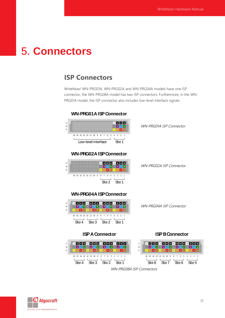## <span id="page-16-1"></span><span id="page-16-0"></span>5. **Connectors**

#### **ISP Connectors**

WriteNow! WN-PRG01A, WN-PRG02A and WN-PRG04A models have one ISP connector; the WN-PRG08A model has two ISP connectors. Furthermore, in the WN-PRG01A model, the ISP connector also includes low-level interface signals.





WN-PRG01A ISP Connector





WN-PRG02A ISP Connector

**WN-PRG04A ISPConnector**



WN-PRG04A ISP Connector



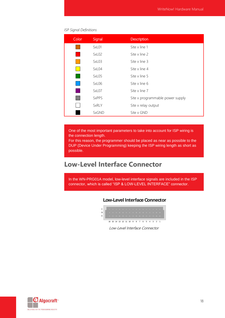#### *ISP Signal Definitions*

| Color | Signal       | Description                      |
|-------|--------------|----------------------------------|
|       | SxL01        | Site x line 1                    |
|       | SxL02        | Site x line 2                    |
|       | SxL03        | Site x line 3                    |
|       | SxL04        | Site x line 4                    |
|       | SxL05        | Site x line 5                    |
|       | SxL06        | Site x line 6                    |
|       | SxL07        | Site x line 7                    |
|       | SxPPS        | Site x programmable power supply |
|       | <b>SxRLY</b> | Site x relay output              |
|       | SxGND        | Site x GND                       |

One of the most important parameters to take into account for ISP wiring is the connection length.

For this reason, the programmer should be placed as near as possible to the DUP (Device Under Programming) keeping the ISP wiring length as short as possible.

## <span id="page-17-0"></span>**Low-Level Interface Connector**

In the WN-PRG01A model, low-level interface signals are included in the ISP connector, which is called "ISP & LOW-LEVEL INTERFACE" connector.

#### **Low-Level Interface Connector**

| C. |  |  |  | .                                      |  |  |  |  |  |
|----|--|--|--|----------------------------------------|--|--|--|--|--|
| в  |  |  |  | .                                      |  |  |  |  |  |
| А  |  |  |  | .                                      |  |  |  |  |  |
|    |  |  |  |                                        |  |  |  |  |  |
|    |  |  |  | 16 15 14 13 12 11 10 9 8 7 6 5 4 3 2 1 |  |  |  |  |  |

Low-Level Interface Connector

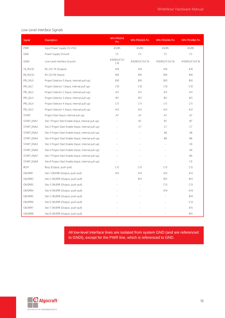#### *Low-Level Interface Signals*

| Signal          | <b>Description</b>                                    | WN-PRG01A<br>Pin    | WN-PRG02A Pin   | WN-PRG04A Pin   | WN-PRG08A Pin   |
|-----------------|-------------------------------------------------------|---------------------|-----------------|-----------------|-----------------|
| <b>PWR</b>      | Input Power Supply (12-25V)                           | A5/B5               | A5/B5           | A5/B5           | A5/B5           |
| <b>GND</b>      | Power Supply Ground                                   | C5                  | C5              | C5              | C <sub>5</sub>  |
| <b>GNDI</b>     | Low-Level Interface Ground                            | A10/B12/C15/<br>C16 | A10/B12/C15/C16 | A10/B12/C15/C16 | A10/B12/C15/C16 |
| <b>TX RS232</b> | RS-232 TX (Output)                                    | A16                 | A16             | A16             | A16             |
| <b>RX RS232</b> | RS-232 RX (Input)                                     | <b>B16</b>          | <b>B16</b>      | <b>B16</b>      | <b>B16</b>      |
| PRJ SELO        | Project Selector 0 (Input, internal pull-up)          | <b>B10</b>          | <b>B10</b>      | <b>B10</b>      | <b>B10</b>      |
| PRJ_SEL1        | Project Selector 1 (Input, internal pull-up)          | C10                 | C10             | C10             | C10             |
| PRJ SEL2        | Project Selector 2 (Input, internal pull-up)          | A11                 | A11             | A11             | A11             |
| PRJ SEL3        | Project Selector 3 (Input, internal pull-up)          | <b>B11</b>          | <b>B11</b>      | <b>B11</b>      | <b>B11</b>      |
| PRJ SEL4        | Project Selector 4 (Input, internal pull-up)          | C11                 | C11             | C11             | C11             |
| PRJ_SEL5        | Project Selector 5 (Input, internal pull-up)          | A12                 | A12             | A12             | A12             |
| <b>START</b>    | Project Start (Input, internal pull-up)               | A7                  | A7              | A7              | A7              |
| START ENA1      | Site 1 Project Start Enable (Input, internal pull-up) | ÷,                  | <b>B7</b>       | <b>B7</b>       | <b>B7</b>       |
| START_ENA2      | Site 2 Project Start Enable (Input, internal pull-up) |                     | C7              | C7              | C7              |
| START ENA3      | Site 3 Project Start Enable (Input, internal pull-up) |                     |                 | A <sub>8</sub>  | A8              |
| START ENA4      | Site 4 Project Start Enable (Input, internal pull-up) |                     |                 | B <sub>8</sub>  | B <sub>8</sub>  |
| START ENA5      | Site 5 Project Start Enable (Input, internal pull-up) |                     |                 |                 | C8              |
| START_ENA6      | Site 6 Project Start Enable (Input, internal pull-up) |                     |                 |                 | A9              |
| START ENA7      | Site 7 Project Start Enable (Input, internal pull-up) |                     |                 |                 | <b>B9</b>       |
| START ENA8      | Site 8 Project Start Enable (Input, internal pull-up) |                     |                 |                 | C9              |
| <b>BUSY</b>     | Busy (Output, push-pull)                              | C12                 | C12             | C12             | C12             |
| OK/ERR1         | Site 1 OK/ERR (Output, push-pull)                     | A13                 | A13             | A13             | A13             |
| OK/ERR2         | Site 2 OK/ERR (Output, push-pull)                     |                     | <b>B13</b>      | <b>B13</b>      | <b>B13</b>      |
| OK/ERR3         | Site 3 OK/ERR (Output, push-pull)                     |                     |                 | C13             | C13             |
| OK/ERR4         | Site 4 OK/ERR (Output, push-pull)                     |                     |                 | A14             | A14             |
| OK/ERR5         | Site 5 OK/ERR (Output, push-pull)                     |                     |                 |                 | <b>B14</b>      |
| OK/ERR6         | Site 6 OK/ERR (Output, push-pull)                     |                     |                 |                 | C14             |
| OK/ERR7         | Site 7 OK/ERR (Output, push-pull)                     |                     |                 |                 | A15             |
| OK/ERR8         | Site 8 OK/ERR (Output, push-pull)                     |                     |                 |                 | <b>B15</b>      |

All low-level interface lines are isolated from system GND (and are referenced to GNDI), except for the PWR line, which is referenced to GND.

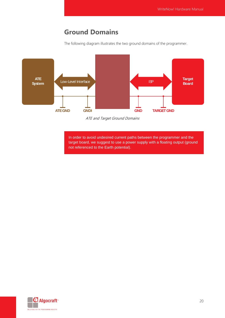### **Ground Domains**

The following diagram illustrates the two ground domains of the programmer.

<span id="page-19-0"></span>

ATE and Target Ground Domains

In order to avoid undesired current paths between the programmer and the target board, we suggest to use a power supply with a floating output (ground not referenced to the Earth potential).

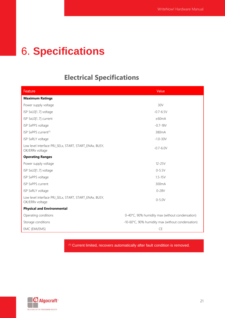## <span id="page-20-0"></span>6. **Specifications**

## **Electrical Specifications**

<span id="page-20-1"></span>

| Feature                                                                   | Value                                             |
|---------------------------------------------------------------------------|---------------------------------------------------|
| <b>Maximum Ratings</b>                                                    |                                                   |
| Power supply voltage                                                      | 30V                                               |
| ISP SxL0[17] voltage                                                      | $-0.7 - 6.5V$                                     |
| ISP SxL0[17] current                                                      | ±60mA                                             |
| ISP SxPPS voltage                                                         | $-0.7 - 18V$                                      |
| ISP SxPPS current <sup>(*)</sup>                                          | 380mA                                             |
| ISP SxRLY voltage                                                         | $-1.0 - 30V$                                      |
| Low level interface PRJ_SELx, START, START_ENAx, BUSY,<br>OK/ERRx voltage | $-0.7 - 6.0V$                                     |
| <b>Operating Ranges</b>                                                   |                                                   |
| Power supply voltage                                                      | $12 - 25V$                                        |
| ISP SxL0[17] voltage                                                      | $0 - 5.5V$                                        |
| ISP SxPPS voltage                                                         | $1.5 - 15V$                                       |
| <b>ISP SxPPS current</b>                                                  | 300mA                                             |
| ISP SxRLY voltage                                                         | $0 - 28V$                                         |
| Low level interface PRJ_SELx, START, START_ENAx, BUSY,<br>OK/ERRx voltage | $0 - 5.0V$                                        |
| <b>Physical and Environmental</b>                                         |                                                   |
| Operating conditions                                                      | 0-40°C, 90% humidity max (without condensation)   |
| Storage conditions                                                        | -10-60°C, 90% humidity max (without condensation) |
| EMC (EMI/EMS)                                                             | <b>CE</b>                                         |

(\*) Current limited, recovers automatically after fault condition is removed.

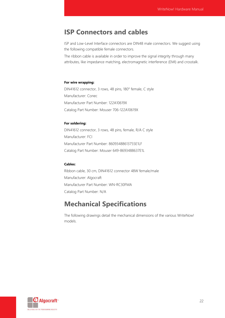#### <span id="page-21-0"></span>**ISP Connectors and cables**

ISP and Low-Level Interface connectors are DIN48 male connectors. We suggest using the following compatible female connectors.

The ribbon cable is available in order to improve the signal integrity through many attributes, like impedance matching, electromagnetic interference (EMI) and crosstalk.

#### **For wire wrapping:**

DIN41612 connector, 3 rows, 48 pins, 180° female, C style Manufacturer: Conec Manufacturer Part Number: 122A10619X Catalog Part Number: Mouser 706-122A10619X

#### **For soldering:**

DIN41612 connector, 3 rows, 48 pins, female, R/A C style Manufacturer: FCI Manufacturer Part Number: 86093488613755E1LF Catalog Part Number: Mouser 649-8693488637E1L

#### **Cables:**

Ribbon cable, 30 cm, DIN41612 connector 48W female/male Manufacturer: Algocraft Manufacturer Part Number: WN-RC30FMA Catalog Part Number: N/A

### <span id="page-21-1"></span>**Mechanical Specifications**

The following drawings detail the mechanical dimensions of the various WriteNow! models.

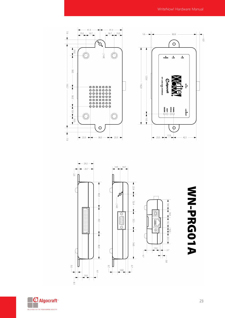$-63$ 





A 188 - 481 - 881 - 881 - 881 - 881 - 881 - 882 - 882 - 882 - 882 - 882 - 882 - 882 - 882 - 882 - 882 - 882 - 882 - 882 - 882 - 882 - 882 - 882 - 882 - 882 - 882 - 882 - 882 - 882 - 882 - 882 - 882 - 882 - 882 - 882 - 882

 $-20.3$  $\overline{\mathbf{v}}$ 

 $2.7$ 

 $-3.8$ 







 $-05$ 

 $\overline{\phantom{a}}$ 

23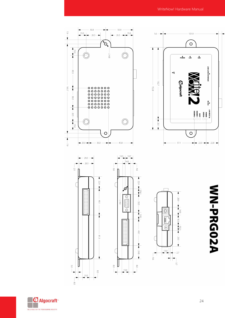







24

**MN-PRG02A**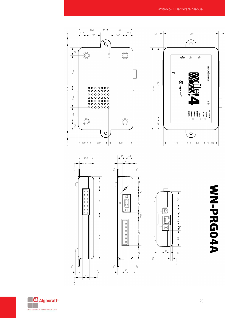







**MN-PRG04A**